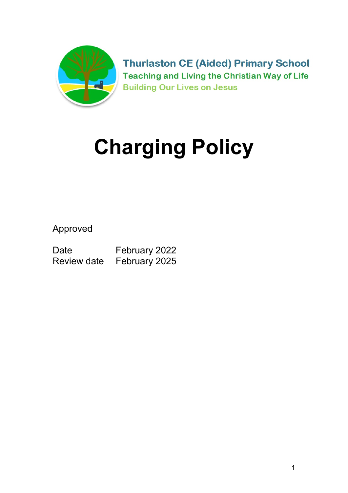

**Thurlaston CE (Aided) Primary School Teaching and Living the Christian Way of Life Building Our Lives on Jesus** 

# Charging Policy

Approved

Date February 2022 Review date February 2025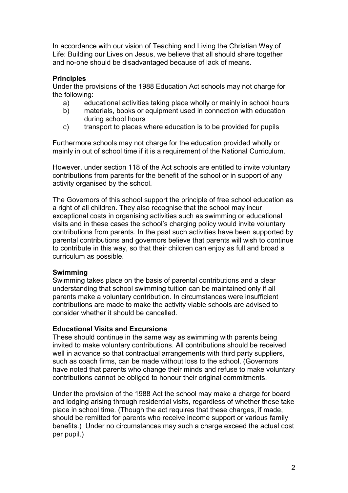In accordance with our vision of Teaching and Living the Christian Way of Life: Building our Lives on Jesus, we believe that all should share together and no-one should be disadvantaged because of lack of means.

### **Principles**

Under the provisions of the 1988 Education Act schools may not charge for the following:

- a) educational activities taking place wholly or mainly in school hours
- b) materials, books or equipment used in connection with education during school hours
- c) transport to places where education is to be provided for pupils

Furthermore schools may not charge for the education provided wholly or mainly in out of school time if it is a requirement of the National Curriculum.

However, under section 118 of the Act schools are entitled to invite voluntary contributions from parents for the benefit of the school or in support of any activity organised by the school.

The Governors of this school support the principle of free school education as a right of all children. They also recognise that the school may incur exceptional costs in organising activities such as swimming or educational visits and in these cases the school's charging policy would invite voluntary contributions from parents. In the past such activities have been supported by parental contributions and governors believe that parents will wish to continue to contribute in this way, so that their children can enjoy as full and broad a curriculum as possible.

#### Swimming

Swimming takes place on the basis of parental contributions and a clear understanding that school swimming tuition can be maintained only if all parents make a voluntary contribution. In circumstances were insufficient contributions are made to make the activity viable schools are advised to consider whether it should be cancelled.

#### Educational Visits and Excursions

These should continue in the same way as swimming with parents being invited to make voluntary contributions. All contributions should be received well in advance so that contractual arrangements with third party suppliers, such as coach firms, can be made without loss to the school. (Governors have noted that parents who change their minds and refuse to make voluntary contributions cannot be obliged to honour their original commitments.

Under the provision of the 1988 Act the school may make a charge for board and lodging arising through residential visits, regardless of whether these take place in school time. (Though the act requires that these charges, if made, should be remitted for parents who receive income support or various family benefits.) Under no circumstances may such a charge exceed the actual cost per pupil.)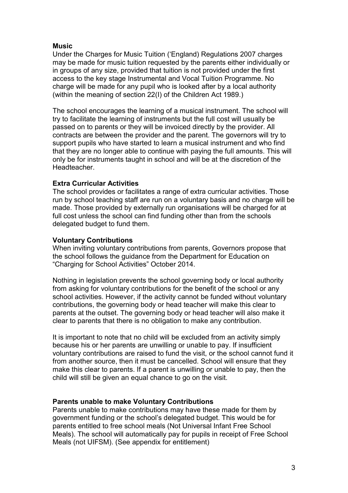#### Music

Under the Charges for Music Tuition ('England) Regulations 2007 charges may be made for music tuition requested by the parents either individually or in groups of any size, provided that tuition is not provided under the first access to the key stage Instrumental and Vocal Tuition Programme. No charge will be made for any pupil who is looked after by a local authority (within the meaning of section 22(I) of the Children Act 1989.)

The school encourages the learning of a musical instrument. The school will try to facilitate the learning of instruments but the full cost will usually be passed on to parents or they will be invoiced directly by the provider. All contracts are between the provider and the parent. The governors will try to support pupils who have started to learn a musical instrument and who find that they are no longer able to continue with paying the full amounts. This will only be for instruments taught in school and will be at the discretion of the Headteacher.

#### Extra Curricular Activities

The school provides or facilitates a range of extra curricular activities. Those run by school teaching staff are run on a voluntary basis and no charge will be made. Those provided by externally run organisations will be charged for at full cost unless the school can find funding other than from the schools delegated budget to fund them.

#### Voluntary Contributions

When inviting voluntary contributions from parents, Governors propose that the school follows the guidance from the Department for Education on "Charging for School Activities" October 2014.

Nothing in legislation prevents the school governing body or local authority from asking for voluntary contributions for the benefit of the school or any school activities. However, if the activity cannot be funded without voluntary contributions, the governing body or head teacher will make this clear to parents at the outset. The governing body or head teacher will also make it clear to parents that there is no obligation to make any contribution.

It is important to note that no child will be excluded from an activity simply because his or her parents are unwilling or unable to pay. If insufficient voluntary contributions are raised to fund the visit, or the school cannot fund it from another source, then it must be cancelled. School will ensure that they make this clear to parents. If a parent is unwilling or unable to pay, then the child will still be given an equal chance to go on the visit.

#### Parents unable to make Voluntary Contributions

Parents unable to make contributions may have these made for them by government funding or the school's delegated budget. This would be for parents entitled to free school meals (Not Universal Infant Free School Meals). The school will automatically pay for pupils in receipt of Free School Meals (not UIFSM). (See appendix for entitlement)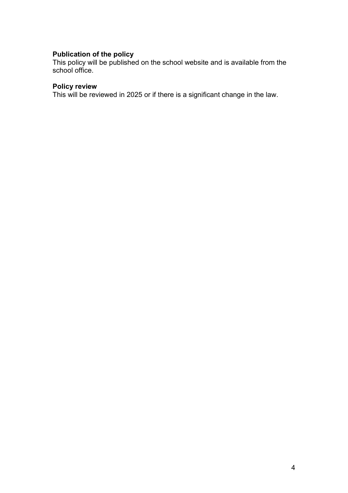# Publication of the policy

This policy will be published on the school website and is available from the school office.

#### Policy review

This will be reviewed in 2025 or if there is a significant change in the law.